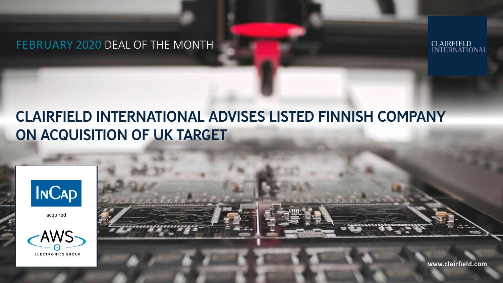## FEBRUARY 2020 DEAL OF THE MONTH



# CLAIRFIELD INTERNATIONAL ADVISES LISTED FINNISH COMPANY ON ACQUISITION OF UK TARGET



acquired





www.clairfield.com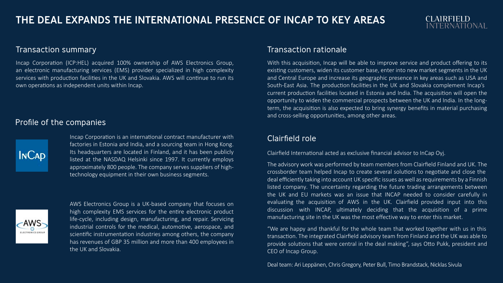#### **CLAIRFIELD** INTERNATIONAL

#### Transaction summary

Incap Corporation (ICP:HEL) acquired 100% ownership of AWS Electronics Group, an electronic manufacturing services (EMS) provider specialized in high complexity services with production facilities in the UK and Slovakia. AWS will continue to run its own operations as independent units within Incap.

#### Profile of the companies



Incap Corporation is an international contract manufacturer with factories in Estonia and India, and a sourcing team in Hong Kong. Its headquarters are located in Finland, and it has been publicly listed at the NASDAQ Helsinki since 1997. It currently employs approximately 800 people. The company serves suppliers of hightechnology equipment in their own business segments.



AWS Electronics Group is a UK-based company that focuses on high complexity EMS services for the entire electronic product life-cycle, including design, manufacturing, and repair. Servicing industrial controls for the medical, automotive, aerospace, and scientific instrumentation industries among others, the company has revenues of GBP 35 million and more than 400 employees in the UK and Slovakia.

#### Transaction rationale

With this acquisition, Incap will be able to improve service and product offering to its existing customers, widen its customer base, enter into new market segments in the UK and Central Europe and increase its geographic presence in key areas such as USA and South-East Asia. The production facilities in the UK and Slovakia complement Incap's current production facilities located in Estonia and India. The acquisition will open the opportunity to widen the commercial prospects between the UK and India. In the longterm, the acquisition is also expected to bring synergy benefits in material purchasing and cross-selling opportunities, among other areas.

#### Clairfield role

Clairfield International acted as exclusive financial advisor to InCap Oyj.

The advisory work was performed by team members from Clairfield Finland and UK. The crossborder team helped Incap to create several solutions to negotiate and close the deal efficiently taking into account UK specific issues as well as requirements by a Finnish listed company. The uncertainty regarding the future trading arrangements between the UK and EU markets was an issue that INCAP needed to consider carefully in evaluating the acquisition of AWS in the UK. Clairfield provided input into this discussion with INCAP, ultimately deciding that the acquisition of a prime manufacturing site in the UK was the most effective way to enter this market.

"We are happy and thankful for the whole team that worked together with us in this transaction. The integrated Clairfield advisory team from Finland and the UK was able to provide solutions that were central in the deal making", says Otto Pukk, president and CEO of Incap Group.

Deal team: Ari Leppänen, Chris Gregory, Peter Bull, Timo Brandstack, Nicklas Sivula